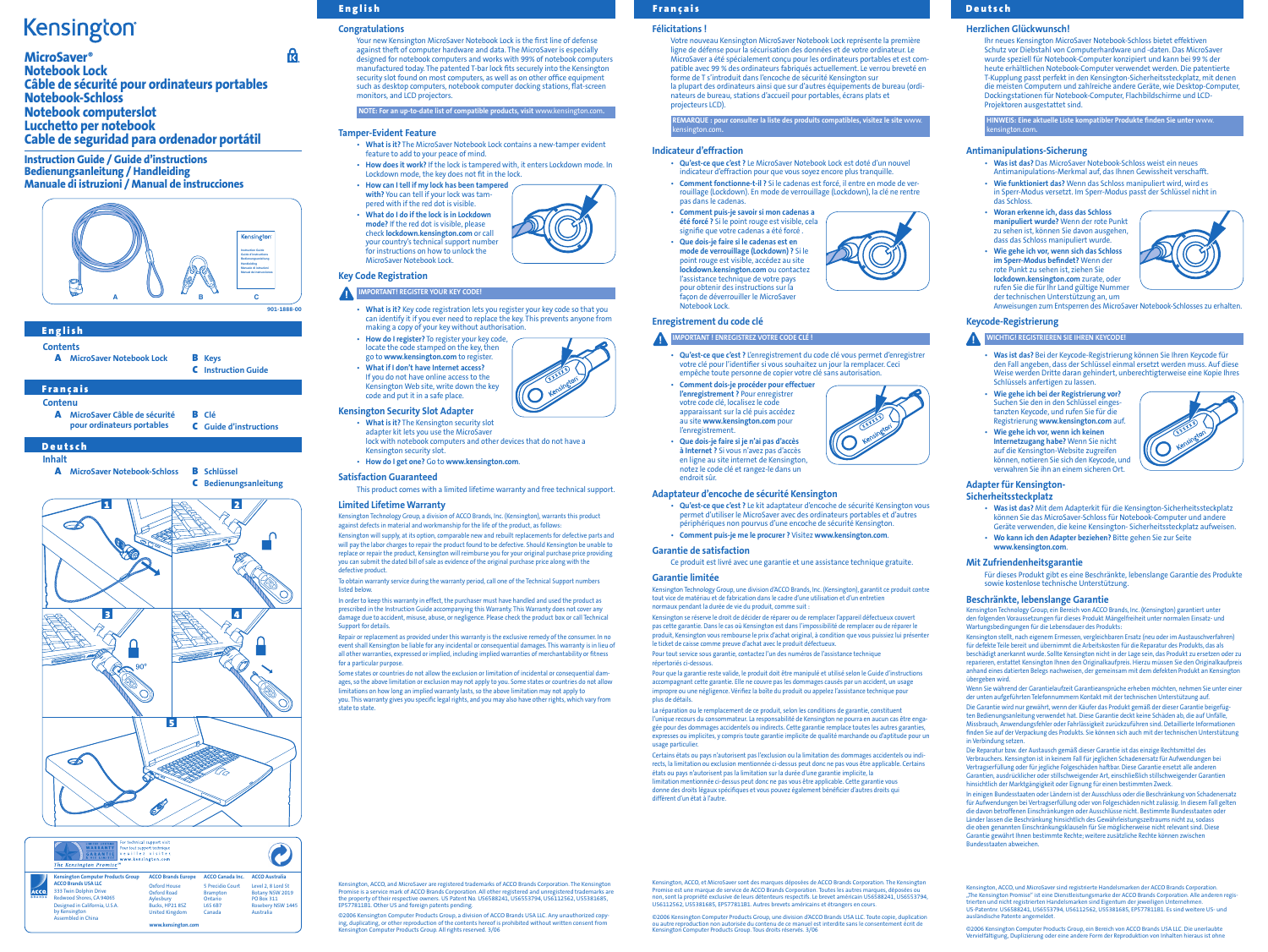Your new Kensington MicroSaver Notebook Lock is the first line of defense against theft of computer hardware and data. The MicroSaver is especially designed for notebook computers and works with 99% of notebook computers manufactured today. The patented T-bar lock fits securely into the Kensington security slot found on most computers, as well as on other office equipment such as desktop computers, notebook computer docking stations, flat-screen monitors, and LCD projectors.

NOTE: For an up-to-date list of compatible products, visit www.kensington.com.

## Tamper-Evident Feature

- IMPORTANT! REGISTER YOUR KEY CODE!
- What is it? Key code registration lets you register your key code so that you can identify it if you ever need to replace the key. This prevents anyone from making a copy of your key without authorisat
- How do I register? To register your key code, locate the code stamped on the key, then
- go to www.kensington.com to register. • What if I don't have Internet access? If you do not have online access to the
- Kensington Web site, write down the key code and put it in a safe place.
- What is it? The MicroSaver Notebook Lock contains a new-tamper evident feature to add to your peace of mind.
- How does it work? If the lock is tampered with, it enters Lockdown mode. In Lockdown mode, the key does not fit in the lock.
- How can I tell if my lock has been tampered with? You can tell if your lock was tam-
- pered with if the red dot is visible. • What do I do if the lock is in Lockdown mode? If the red dot is visible, please check lockdown.kensington.com or call your country's technical support number for instructions on how to unlock the MicroSaver Notebook Lock.

- adapter kit lets you use the MicroSaver lock with notebook computers and other devices that do not have a Kensington security slot.
- How do I get one? Go to www.kensington.com.

## Key Code Registration

## Kensington Security Slot Adapter



## Satisfaction Guaranteed

This product comes with a limited lifetime warranty and free technical support.

## Limited Lifetime Warranty

ington, ACCO, and MicroSaver are registered trademarks of ACCO Brands Corporation. The Kensingto Promise is a service mark of ACCO Brands Corporation. All other registered and unregistered trademarks are the property of their respective owners. US Patent No. US6588241, US6553794, US6112562, US5381685, EP577811B1. Other US and foreign patents pending.

©2006 Kensington Computer Products Group, a division of ACCO Brands USA LLC. Any unauthorized copy-<br>ing, duplicating, or other reproduction of the contents hereof is prohibited without written consent from<br>Kensington Compu

Kensington Technology Group, a division of ACCO Brands, Inc. (Kensington), warrants this product against defects in material and workmanship for the life of the product, as follows:

- A MicroSaver Notebook Lock **B** Keys
	- C Instruction Guide

## **Francais**

- A MicroSaver Câble de sécurité B Clé
	- pour ordinateurs portables C Guide d'instructions

**Deutsch** 

Kensington will supply, at its option, comparable new and rebuilt replacements for defective parts and will pay the labor charges to repair the product found to be defective. Should Kensington be unable to replace or repair the product, Kensington will reimburse you for your original purchase price providing you can submit the dated bill of sale as evidence of the original purchase price along with the defective product.

To obtain warranty service during the warranty period, call one of the Technical Support numbers listed below.

In order to keep this warranty in effect, the purchaser must have handled and used the product as prescribed in the Instruction Guide accompanying this Warranty. This Warranty does not cover any damage due to accident, misuse, abuse, or negligence. Please check the product box or call Technical Support for details.

Repair or replacement as provided under this warranty is the exclusive remedy of the consumer. In no event shall Kensington be liable for any incidental or consequential damages. This warranty is in lieu of all other warranties, expressed or implied, including implied warranties of merchantability or fitness for a particular purpose.

### IMPORTANT ! ENREGISTREZ VOTRE CODE CLÉ ! A

Some states or countries do not allow the exclusion or limitation of incidental or consequential damages, so the above limitation or exclusion may not apply to you. Some states or countries do not allow limitations on how long an implied warranty lasts, so the above limitation may not apply to you. This warranty gives you specific legal rights, and you may also have other rights, which vary from state to state.

- Qu'est-ce que c'est ? L'enregistrement du code clé vous permet d'enregistrer votre clé pour l'identifier si vous souhaitez un jour la remplacer. Ceci empêche toute personne de copier votre clé sans autorisation. • Comment dois-je procéder pour effectuer
- l'enregistrement ? Pour enregistrer votre code clé, localisez le code apparaissant sur la clé puis accédez au site www.kensington.com pour l'enregistrement.
- Que dois-je faire si je n'ai pas d'accès à Internet ? Si vous n'avez pas d'accès en ligne au site internet de Kensington, notez le code clé et rangez-le dans un endroit sûr.

Contenu

## Inhalt

A MicroSaver Notebook-Schloss B Schlüssel

La réparation ou le remplacement de ce produit, selon les conditions de garantie, constituen l'unique recours du consommateur. La responsabilité de Kensington ne pourra en aucun cas être engagée pour des dommages accidentels ou indirects. Cette garantie remplace toutes les autres garanties, expresses ou implicites, y compris toute garantie implicite de qualité marchande ou d'aptitude pour un usage particulier.

C Bedienungsanleitung

Kensington, ACCO, et MicroSaver sont des marques déposées de ACCO Brands Corporation. The Kensington Promise est une marque de service de ACCO Brands Corporation. Toutes les autres marques, déposées ou<br>non, sont la propriété exclusive de leurs détenteurs respectifs. Le brevet américain US6588241, US6553794,<br>US6112562, US5

|                              | For technical support visit<br><b>LIMITED LIFETIME</b><br>Pour tout support technique<br>WARRANTY<br>veuillez visiter.<br>www.kensington.com<br>The Kensington Promise <sup>su</sup> |                             |                                     |                                       |
|------------------------------|--------------------------------------------------------------------------------------------------------------------------------------------------------------------------------------|-----------------------------|-------------------------------------|---------------------------------------|
|                              | <b>Kensington Computer Products Group</b>                                                                                                                                            | <b>ACCO Brands Europe</b>   | <b>ACCO Canada Inc.</b>             | <b>ACCO Australia</b>                 |
| <b>ACCO</b><br><b>BRANDS</b> | <b>ACCO Brands USA LLC</b>                                                                                                                                                           | Oxford House<br>Oxford Road | 5 Precidio Court<br><b>Brampton</b> | Level 2, 8 Lord St<br>Botany NSW 2019 |
|                              | 333 Twin Dolphin Drive<br>Redwood Shores, CA 94065                                                                                                                                   |                             |                                     |                                       |
|                              |                                                                                                                                                                                      | Aylesbury                   | Ontario                             | <b>PO Box 311</b>                     |
|                              | Designed in California, U.S.A.                                                                                                                                                       | Bucks, HP21 8SZ             | <b>L6S 6B7</b>                      | Rosebery NSW 1445                     |
|                              | by Kensington<br>Assembled in China                                                                                                                                                  | <b>United Kingdom</b>       | Canada                              | Australia                             |
|                              |                                                                                                                                                                                      | www.kensington.com          |                                     |                                       |

## **English**

<u>रि.</u>

## **Congratulations**

Félicitations !

Votre nouveau Kensington MicroSaver Notebook Lock représente la première ligne de défense pour la sécurisation des données et de votre ordinateur. Le MicroSaver a été spécialement conçu pour les ordinateurs portables et est compatible avec 99 % des ordinateurs fabriqués actuellement. Le verrou breveté en forme de T s'introduit dans l'encoche de sécurité Kensington sur la plupart des ordinateurs ainsi que sur d'autres équipements de bureau (ordinateurs de bureau, stations d'accueil pour portables, écrans plats et projecteurs LCD).

REMARQUE : pour consulter la liste des produits compatibles, visitez le site www.





## Français de la component de la component de la component de la component de la component de la component de la

## kensington.com. Indicateur d'effraction

- Qu'est-ce que c'est ? Le MicroSaver Notebook Lock est doté d'un nouvel indicateur d'effraction pour que vous soyez encore plus tranquille.
- Comment fonctionne-t-il ? Si le cadenas est forcé, il entre en mode de verrouillage (Lockdown). En mode de verrouillage (Lockdown), la clé ne rentre pas dans le cadenas.
- Comment puis-je savoir si mon cadenas a été forcé ? Si le point rouge est visible, cela signifie que votre cadenas a été forcé .
- Que dois-je faire si le cadenas est en mode de verrouillage (Lockdown) ? Si le point rouge est visible, accédez au site lockdown.kensington.com ou contactez l'assistance technique de votre pays pour obtenir des instructions sur la façon de déverrouiller le MicroSaver Notebook Lock.

Enregistrement du code clé

### Adaptateur d'encoche de sécurité Kensington

- Qu'est-ce que c'est ? Le kit adaptateur d'encoche de sécurité Kensington vous
- permet d'utiliser le MicroSaver avec des ordinateurs portables et d'autres périphériques non pourvus d'une encoche de sécurité Kensington.
- Comment puis-je me le procurer ? Visitez www.kensington.com.

## Garantie de satisfaction

Ce produit est livré avec une garantie et une assistance technique gratuite.

### Garantie limitée

Kensington Technology Group, une division d'ACCO Brands, Inc. (Kensington), garantit ce produit contre tout vice de matériau et de fabrication dans le cadre d'une utilisation et d'un entretien normaux pendant la durée de vie du produit, comme suit :

Kensington se réserve le droit de décider de réparer ou de remplacer l'appareil défectueux couvert pas cette garantie. Dans le cas où Kensington est dans l'impossibilité de remplacer ou de réparer le produit, Kensington vous rembourse le prix d'achat original, à condition que vous puissiez lui présenter le ticket de caisse comme preuve d'achat avec le produit défectueux.

Pour tout service sous garantie, contactez l'un des numéros de l'assistance technique répertoriés ci-dessous.

Pour que la garantie reste valide, le produit doit être manipulé et utilisé selon le Guide d'instructions accompagnant cette garantie. Elle ne couvre pas les dommages causés par un accident, un usage impropre ou une négligence. Vérifiez la boîte du produit ou appelez l'assistance technique pour plus de détails.

Certains états ou pays n'autorisent pas l'exclusion ou la limitation des dommages accidentels ou indirects, la limitation ou exclusion mentionnée ci-dessus peut donc ne pas vous être applicable. Certains états ou pays n'autorisent pas la limitation sur la durée d'une garantie implicite, la limitation mentionnée ci-dessus peut donc ne pas vous être applicable. Cette garantie vous donne des droits légaux spécifiques et vous pouvez également bénéficier d'autres droits qui diffèrent d'un état à l'autre.

©2006 Kensington Computer Products Group, une division d'ACCO Brands USA LLC. Toute copie, duplication ou autre reproduction non autorisée du contenu de ce manuel est interdite sans le consentement écrit de Kensington Computer Products Group. Tous droits réservés. 3/06





## **English**

**Contents** 

## Herzlichen Glückwunsch!

Ihr neues Kensington MicroSaver Notebook-Schloss bietet effektiven Schutz vor Diebstahl von Computerhardware und -daten. Das MicroSaver wurde speziell für Notebook-Computer konzipiert und kann bei 99 % der heute erhältlichen Notebook-Computer verwendet werden. Die patentierte T-Kupplung passt perfekt in den Kensington-Sicherheitssteckplatz, mit denen die meisten Computern und zahlreiche andere Geräte, wie Desktop-Computer, Dockingstationen für Notebook-Computer, Flachbildschirme und LCD-Projektoren ausgestattet sind.

HINWEIS: Eine aktuelle Liste kompatibler Produkte finden Sie unter www. kensington.com.

## Antimanipulations-Sicherung

- Was ist das? Das MicroSaver Notebook-Schloss weist ein neues Antimanipulations-Merkmal auf, das Ihnen Gewissheit verschafft.
- Wie funktioniert das? Wenn das Schloss manipuliert wird, wird es in Sperr-Modus versetzt. Im Sperr-Modus passt der Schlüssel nicht in das Schloss.
- Woran erkenne ich, dass das Schloss manipuliert wurde? Wenn der rote Punkt zu sehen ist, können Sie davon ausgehen, dass das Schloss manipuliert wurde.
- Wie gehe ich vor, wenn sich das Schloss im Sperr-Modus befindet? Wenn der rote Punkt zu sehen ist, ziehen Sie lockdown.kensington.com zurate, oder rufen Sie die für Ihr Land gültige Nummer der technischen Unterstützung an, um



Anweisungen zum Entsperren des MicroSaver Notebook-Schlosses zu erhalten.

## Keycode-Registrierung

## WICHTIG! REGISTRIEREN SIE IHREN KEYCODE!

- Was ist das? Bei der Keycode-Registrierung können Sie Ihren Keycode für den Fall angeben, dass der Schlüssel einmal ersetzt werden muss. Auf diese Weise werden Dritte daran gehindert, unberechtigterweise eine Kopie Ihres Schlüssels anfertigen zu lassen.
- Wie gehe ich bei der Registrierung vor? Suchen Sie den in den Schlüssel eingestanzten Keycode, und rufen Sie für die Registrierung www.kensington.com auf.
- Wie gehe ich vor, wenn ich keinen Internetzugang habe? Wenn Sie nicht auf die Kensington-Website zugreifen können, notieren Sie sich den Keycode, und verwahren Sie ihn an einem sicheren Ort.



## Adapter für Kensington-Sicherheitssteckplatz

- Was ist das? Mit dem Adapterkit für die Kensington-Sicherheitssteckplatz können Sie das MicroSaver-Schloss für Notebook-Computer und andere Geräte verwenden, die keine Kensington- Sicherheitssteckplatz aufweisen.
- Wo kann ich den Adapter beziehen? Bitte gehen Sie zur Seite www.kensington.com.

## Mit Zufriendenheitsgarantie

Für dieses Produkt gibt es eine Beschränkte, lebenslange Garantie des Produkte sowie kostenlose technische Unterstützung.

## Beschränkte, lebenslange Garantie

Kensington Technology Group, ein Bereich von ACCO Brands, Inc. (Kensington) garantiert unter den folgenden Voraussetzungen für dieses Produkt Mängelfreiheit unter normalen Einsatz- und Wartungsbedingungen für die Lebensdauer des Produkts:

Kensington stellt, nach eigenem Ermessen, vergleichbaren Ersatz (neu oder im Austauschverfahren) für defekte Teile bereit und übernimmt die Arbeitskosten für die Reparatur des Produkts, das als beschädigt anerkannt wurde. Sollte Kensington nicht in der Lage sein, das Produkt zu ersetzen oder zu en, erstattet Kensington Ihnen den Originalkaufpreis. Hierzu müssen Sie den Originalkaufpreis anhand eines datierten Belegs nachweisen, der gemeinsam mit dem defekten Produkt an Kensington übergeben wird.

Wenn Sie während der Garantielaufzeit Garantieansprüche erheben möchten, nehmen Sie unter einer der unten aufgeführten Telefonnummern Kontakt mit der technischen Unterstützung auf. Die Garantie wird nur gewährt, wenn der Käufer das Produkt gemäß der dieser Garantie beigefügten Bedienungsanleitung verwendet hat. Diese Garantie deckt keine Schäden ab, die auf Unfälle, Missbrauch, Anwendungsfehler oder Fahrlässigkeit zurückzuführen sind. Detaillierte Informationen finden Sie auf der Verpackung des Produkts. Sie können sich auch mit der technischen Unterstützung in Verbindung setzen.

Die Reparatur bzw. der Austausch gemäß dieser Garantie ist das einzige Rechtsmittel des Verbrauchers. Kensington ist in keinem Fall für jeglichen Schadenersatz für Aufwendungen bei Vertragserfüllung oder für jegliche Folgeschäden haftbar. Diese Garantie ersetzt alle anderen Garantien, ausdrücklicher oder stillschweigender Art, einschließlich stillschweigender Garantien hinsichtlich der Marktgängigkeit oder Eignung für einen bestimmten Zweck.

In einigen Bundesstaaten oder Ländern ist der Ausschluss oder die Beschränkung von Schadenersatz für Aufwendungen bei Vertragserfüllung oder von Folgeschäden nicht zulässig. In diesem Fall gelten die davon betroffenen Einschränkungen oder Ausschlüsse nicht. Bestimmte Bundesstaaten oder Länder lassen die Beschränkung hinsichtlich des Gewährleistungszeitraums nicht zu, sodass die oben genannten Einschränkungsklauseln für Sie möglicherweise nicht relevant sind. Diese Garantie gewährt Ihnen bestimmte Rechte; weitere zusätzliche Rechte können zwischen Bundesstaaten abweichen.

Kensington, ACCO, und MicroSaver sind registrierte Handelsmarken der ACCO Brands Corporation. "The Kensington Promise" ist eine Dienstleistungsmarke der ACCO Brands Corporation. Alle anderen registrierten und nicht registrierten Handelsmarken sind Eigentum der jeweiligen Unternehmen. US-Patentnr. US6588241, US6553794, US6112562, US5381685, EP577811B1. Es sind weitere US- und ausländische Patente angemeldet.

©2006 Kensington Computer Products Group, ein Bereich von ACCO Brands USA LLC. Die unerlaubte Vervielfältigung, Duplizierung oder eine andere Form der Reproduktion von Inhalten hieraus ist ohne



# **Kensington**

MicroSaver® Notebook Lock Câble de sécurité pour ordinateurs portables Notebook-Schloss Notebook computerslot Lucchetto per notebook Cable de seguridad para ordenador portátil

Instruction Guide / Guide d'instructions Bedienungsanleitung / Handleiding Manuale di istruzioni / Manual de instrucciones